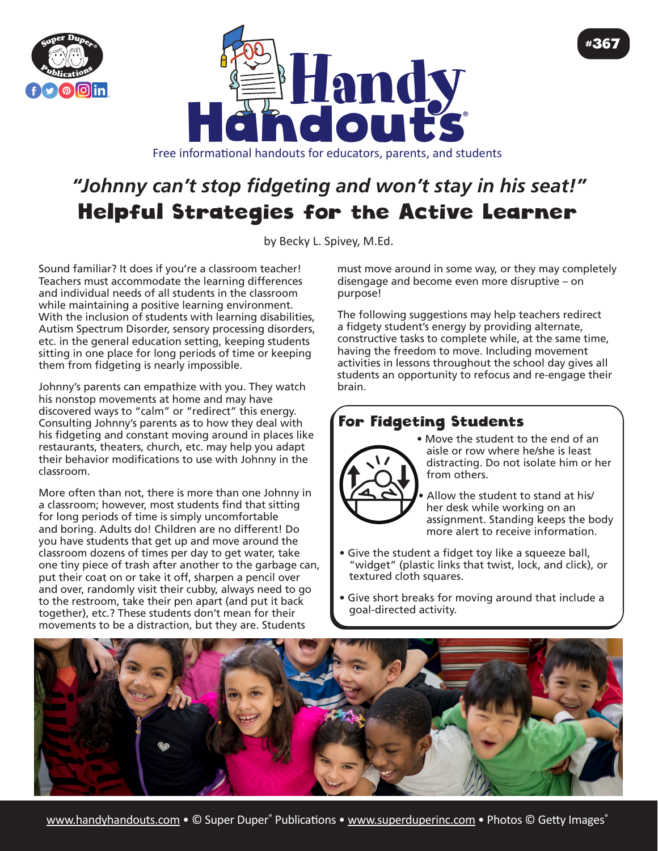



# *"Johnny can't stop fidgeting and won't stay in his seat!"* Helpful Strategies for the Active Learner

by Becky L. Spivey, [M.Ed](http://M.Ed).

Sound familiar? It does if you're a classroom teacher! Teachers must accommodate the learning differences and individual needs of all students in the classroom while maintaining a positive learning environment. With the inclusion of students with learning disabilities, Autism Spectrum Disorder, sensory processing disorders, etc. in the general education setting, keeping students sitting in one place for long periods of time or keeping them from fidgeting is nearly impossible.

Johnny's parents can empathize with you. They watch his nonstop movements at home and may have discovered ways to "calm" or "redirect" this energy. Consulting Johnny's parents as to how they deal with his fidgeting and constant moving around in places like restaurants, theaters, church, etc. may help you adapt their behavior modifications to use with Johnny in the classroom.

More often than not, there is more than one Johnny in a classroom; however, most students find that sitting for long periods of time is simply uncomfortable and boring. Adults do! Children are no different! Do you have students that get up and move around the classroom dozens of times per day to get water, take one tiny piece of trash after another to the garbage can, put their coat on or take it off, sharpen a pencil over and over, randomly visit their cubby, always need to go to the restroom, take their pen apart (and put it back together), etc.? These students don't mean for their movements to be a distraction, but they are. Students

must move around in some way, or they may completely disengage and become even more disruptive – on purpose!

The following suggestions may help teachers redirect a fidgety student's energy by providing alternate, constructive tasks to complete while, at the same time, having the freedom to move. Including movement activities in lessons throughout the school day gives all students an opportunity to refocus and re-engage their brain.

## For Fidgeting Students



• Move the student to the end of an aisle or row where he/she is least distracting. Do not isolate him or her from others.

#367

Allow the student to stand at his/ her desk while working on an assignment. Standing keeps the body more alert to receive information.

- Give the student a fidget toy like a squeeze ball, "widget" (plastic links that twist, lock, and click), or textured cloth squares.
- Give short breaks for moving around that include a goal-directed activity.